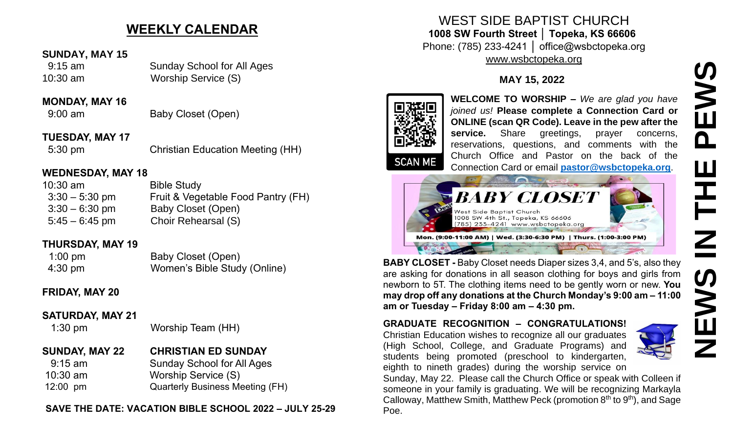# **WEEKLY CALENDAR**

### **SUNDAY, MAY 15**

 9:15 am Sunday School for All Ages 10:30 am Worship Service (S)

### **MONDAY, MAY 16**

9:00 am Baby Closet (Open)

**TUESDAY, MAY 17** 5:30 pm Christian Education Meeting (HH)

## **WEDNESDAY, MAY 18**

| $10:30$ am       | <b>Bible Study</b>                 |
|------------------|------------------------------------|
| $3:30 - 5:30$ pm | Fruit & Vegetable Food Pantry (FH) |
| $3:30 - 6:30$ pm | Baby Closet (Open)                 |
| $5:45 - 6:45$ pm | Choir Rehearsal (S)                |

## **THURSDAY, MAY 19**

| $1:00 \text{ pm}$ | Baby Closet (Open)           |
|-------------------|------------------------------|
| 4:30 pm           | Women's Bible Study (Online) |

## **FRIDAY, MAY 20**

**SATURDAY, MAY 21**

1:30 pm Worship Team (HH)

# **SUNDAY, MAY 22 CHRISTIAN ED SUNDAY**

 9:15 am Sunday School for All Ages 10:30 am Worship Service (S) 12:00 pm Quarterly Business Meeting (FH)

### **SAVE THE DATE: VACATION BIBLE SCHOOL 2022 – JULY 25-29**

WEST SIDE BAPTIST CHURCH **1008 SW Fourth Street │ Topeka, KS 66606** Phone: (785) 233-4241 │ office@wsbctopeka.org [www.wsbctopeka.org](http://www.wsbctopeka.org/)

# **MAY 15, 2022**



**WELCOME TO WORSHIP –** *We are glad you have joined us!* **Please complete a Connection Card or ONLINE (scan QR Code). Leave in the pew after the service.** Share greetings, prayer concerns, reservations, questions, and comments with the Church Office and Pastor on the back of the Connection Card or email **[pastor@wsbctopeka.org](mailto:pastor@wsbctopeka.org)**.



**BABY CLOSET -** Baby Closet needs Diaper sizes 3,4, and 5's, also they are asking for donations in all season clothing for boys and girls from newborn to 5T. The clothing items need to be gently worn or new. **You may drop off any donations at the Church Monday's 9:00 am – 11:00 am or Tuesday – Friday 8:00 am – 4:30 pm.** 

### **GRADUATE RECOGNITION – CONGRATULATIONS!**

Christian Education wishes to recognize all our graduates (High School, College, and Graduate Programs) and students being promoted (preschool to kindergarten, eighth to nineth grades) during the worship service on



Sunday, May 22. Please call the Church Office or speak with Colleen if someone in your family is graduating. We will be recognizing Markayla Calloway, Matthew Smith, Matthew Peck (promotion 8<sup>th</sup> to 9<sup>th</sup>), and Sage Poe.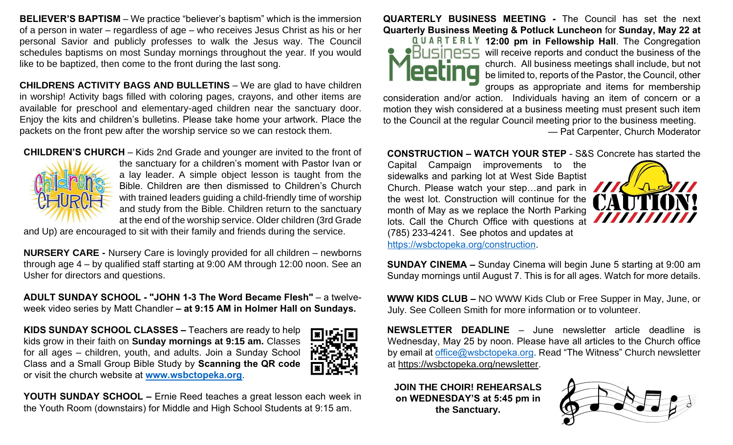**BELIEVER'S BAPTISM** – We practice "believer's baptism" which is the immersion of a person in water – regardless of age – who receives Jesus Christ as his or her personal Savior and publicly professes to walk the Jesus way. The Council schedules baptisms on most Sunday mornings throughout the year. If you would like to be baptized, then come to the front during the last song.

**CHILDRENS ACTIVITY BAGS AND BULLETINS** – We are glad to have children in worship! Activity bags filled with coloring pages, crayons, and other items are available for preschool and elementary-aged children near the sanctuary door. Enjoy the kits and children's bulletins. Please take home your artwork. Place the packets on the front pew after the worship service so we can restock them.

#### **CHILDREN'S CHURCH** – Kids 2nd Grade and younger are invited to the front of



the sanctuary for a children's moment with Pastor Ivan or a lay leader. A simple object lesson is taught from the Bible. Children are then dismissed to Children's Church with trained leaders guiding a child-friendly time of worship and study from the Bible. Children return to the sanctuary at the end of the worship service. Older children (3rd Grade

and Up) are encouraged to sit with their family and friends during the service.

**NURSERY CARE -** Nursery Care is lovingly provided for all children – newborns through age 4 – by qualified staff starting at 9:00 AM through 12:00 noon. See an Usher for directors and questions.

**ADULT SUNDAY SCHOOL - "JOHN 1-3 The Word Became Flesh"** – a twelveweek video series by Matt Chandler **– at 9:15 AM in Holmer Hall on Sundays.**

**KIDS SUNDAY SCHOOL CLASSES –** Teachers are ready to help kids grow in their faith on **Sunday mornings at 9:15 am.** Classes for all ages – children, youth, and adults. Join a Sunday School Class and a Small Group Bible Study by **Scanning the QR code** or visit the church website at **[www.wsbctopeka.org](http://www.wsbctopeka.org/)**.



**YOUTH SUNDAY SCHOOL –** Ernie Reed teaches a great lesson each week in the Youth Room (downstairs) for Middle and High School Students at 9:15 am.

#### **QUARTERLY BUSINESS MEETING** *-* The Council has set the next **Quarterly Business Meeting & Potluck Luncheon** for **Sunday, May 22 at**



**12:00 pm in Fellowship Hall**. The Congregation  $\overline{B}$ USINESS will receive reports and conduct the business of the church. All business meetings shall include, but not be limited to, reports of the Pastor, the Council, other groups as appropriate and items for membership

consideration and/or action. Individuals having an item of concern or a motion they wish considered at a business meeting must present such item to the Council at the regular Council meeting prior to the business meeting. — Pat Carpenter, Church Moderator

#### **CONSTRUCTION – WATCH YOUR STEP** - S&S Concrete has started the

Capital Campaign improvements to the sidewalks and parking lot at West Side Baptist Church. Please watch your step...and park in the west lot. Construction will continue for the month of May as we replace the North Parking lots. Call the Church Office with questions at (785) 233-4241. See photos and updates at [https://wsbctopeka.org/construction.](https://wsbctopeka.org/construction)



**SUNDAY CINEMA –** Sunday Cinema will begin June 5 starting at 9:00 am Sunday mornings until August 7. This is for all ages. Watch for more details.

**WWW KIDS CLUB –** NO WWW Kids Club or Free Supper in May, June, or July. See Colleen Smith for more information or to volunteer.

**NEWSLETTER DEADLINE** – June newsletter article deadline is Wednesday, May 25 by noon. Please have all articles to the Church office by email at [office@wsbctopeka.org.](mailto:offce@wsbctopeka.org) Read "The Witness" Church newsletter at [https://wsbctopeka.org/newsletter.](https://wsbctopeka.org/newsletter)

**JOIN THE CHOIR! REHEARSALS on WEDNESDAY'S at 5:45 pm in the Sanctuary.**